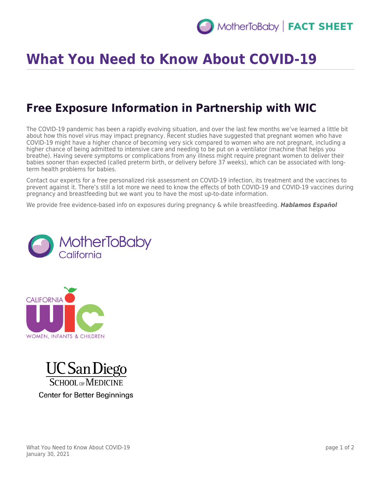

## **What You Need to Know About COVID-19**

## **Free Exposure Information in Partnership with WIC**

The COVID-19 pandemic has been a rapidly evolving situation, and over the last few months we've learned a little bit about how this novel virus may impact pregnancy. Recent studies have suggested that pregnant women who have COVID-19 might have a higher chance of becoming very sick compared to women who are not pregnant, including a higher chance of being admitted to intensive care and needing to be put on a ventilator (machine that helps you breathe). Having severe symptoms or complications from any illness might require pregnant women to deliver their babies sooner than expected (called preterm birth, or delivery before 37 weeks), which can be associated with longterm health problems for babies.

Contact our experts for a free personalized risk assessment on COVID-19 infection, its treatment and the vaccines to prevent against it. There's still a lot more we need to know the effects of both COVID-19 and COVID-19 vaccines during pregnancy and breastfeeding but we want you to have the most up-to-date information.

We provide free evidence-based info on exposures during pregnancy & while breastfeeding. *Hablamos Español*